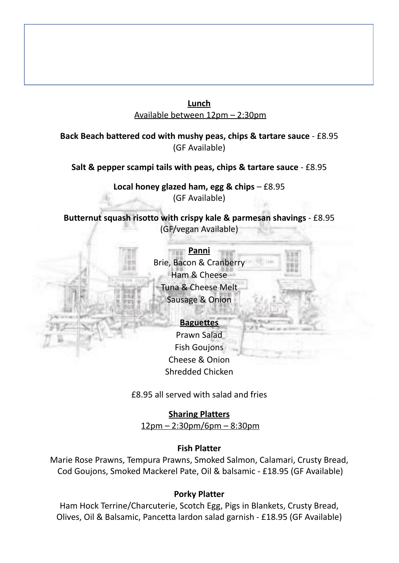## **Lunch** Available between 12pm – 2:30pm

### **Back Beach battered cod with mushy peas, chips & tartare sauce** - £8.95 (GF Available)

### **Salt & pepper scampi tails with peas, chips & tartare sauce** - £8.95

**Local honey glazed ham, egg & chips** – £8.95 (GF Available)

**Butternut squash risotto with crispy kale & parmesan shavings** - £8.95 (GF/vegan Available)



#### **Baguettes** Prawn Salad

Fish Goujons Cheese & Onion Shredded Chicken

£8.95 all served with salad and fries

**Sharing Platters** 12pm – 2:30pm/6pm – 8:30pm

### **Fish Platter**

Marie Rose Prawns, Tempura Prawns, Smoked Salmon, Calamari, Crusty Bread, Cod Goujons, Smoked Mackerel Pate, Oil & balsamic - £18.95 (GF Available)

## **Porky Platter**

Ham Hock Terrine/Charcuterie, Scotch Egg, Pigs in Blankets, Crusty Bread, Olives, Oil & Balsamic, Pancetta lardon salad garnish - £18.95 (GF Available)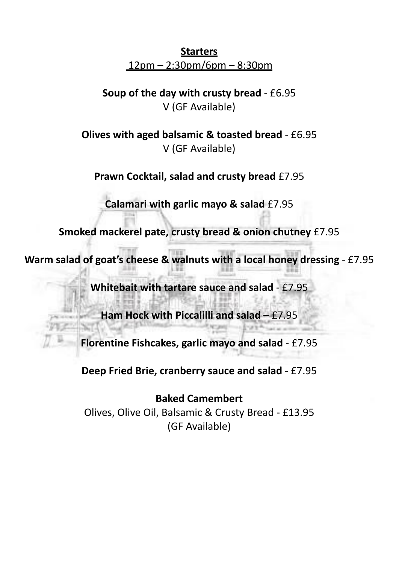# **Starters** 12pm – 2:30pm/6pm – 8:30pm

**Soup of the day with crusty bread** - £6.95 V (GF Available)

**Olives with aged balsamic & toasted bread** - £6.95 V (GF Available)

**Prawn Cocktail, salad and crusty bread** £7.95

**Calamari with garlic mayo & salad** £7.95

**Smoked mackerel pate, crusty bread & onion chutney** £7.95

**Warm salad of goat's cheese & walnuts with a local honey dressing** - £7.95

**Whitebait with tartare sauce and salad** - £7.95

**Ham Hock with Piccalilli and salad** – £7.95

**Florentine Fishcakes, garlic mayo and salad** - £7.95

**Deep Fried Brie, cranberry sauce and salad** - £7.95

**Baked Camembert** Olives, Olive Oil, Balsamic & Crusty Bread - £13.95 (GF Available)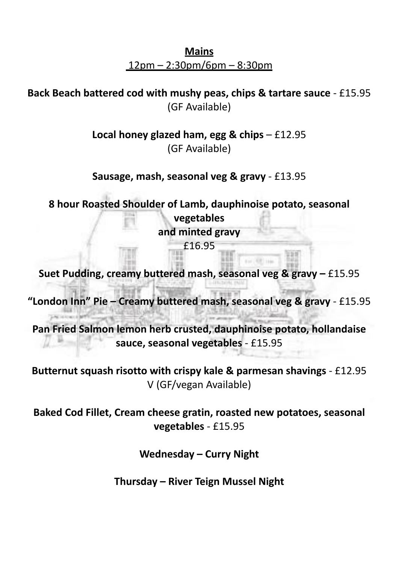**Mains** 12pm – 2:30pm/6pm – 8:30pm

**Back Beach battered cod with mushy peas, chips & tartare sauce** - £15.95 (GF Available)

> **Local honey glazed ham, egg & chips** – £12.95 (GF Available)

> **Sausage, mash, seasonal veg & gravy** - £13.95

**8 hour Roasted Shoulder of Lamb, dauphinoise potato, seasonal vegetables and minted gravy** £16.95

**Suet Pudding, creamy buttered mash, seasonal veg & gravy –** £15.95

**"London Inn" Pie – Creamy buttered mash, seasonal veg & gravy** - £15.95

**Pan Fried Salmon lemon herb crusted, dauphinoise potato, hollandaise sauce, seasonal vegetables** - £15.95

**Butternut squash risotto with crispy kale & parmesan shavings** - £12.95 V (GF/vegan Available)

**Baked Cod Fillet, Cream cheese gratin, roasted new potatoes, seasonal vegetables** - £15.95

**Wednesday – Curry Night**

**Thursday – River Teign Mussel Night**